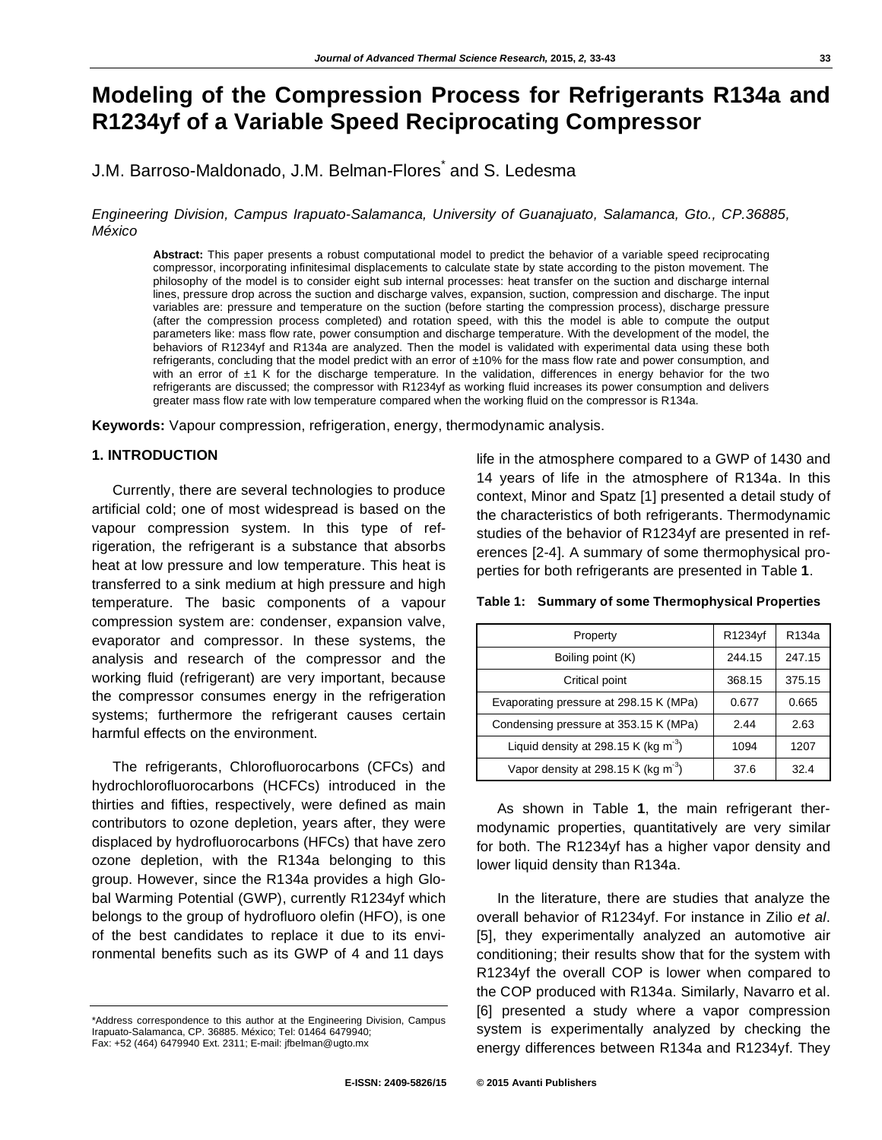# **Modeling of the Compression Process for Refrigerants R134a and R1234yf of a Variable Speed Reciprocating Compressor**

J.M. Barroso-Maldonado, J.M. Belman-Flores<sup>\*</sup> and S. Ledesma

*Engineering Division, Campus Irapuato-Salamanca, University of Guanajuato, Salamanca, Gto., CP.36885, México* 

**Abstract:** This paper presents a robust computational model to predict the behavior of a variable speed reciprocating compressor, incorporating infinitesimal displacements to calculate state by state according to the piston movement. The philosophy of the model is to consider eight sub internal processes: heat transfer on the suction and discharge internal lines, pressure drop across the suction and discharge valves, expansion, suction, compression and discharge. The input variables are: pressure and temperature on the suction (before starting the compression process), discharge pressure (after the compression process completed) and rotation speed, with this the model is able to compute the output parameters like: mass flow rate, power consumption and discharge temperature. With the development of the model, the behaviors of R1234yf and R134a are analyzed. Then the model is validated with experimental data using these both refrigerants, concluding that the model predict with an error of  $\pm 10\%$  for the mass flow rate and power consumption, and with an error of  $\pm 1$  K for the discharge temperature. In the validation, differences in energy behavior for the two refrigerants are discussed; the compressor with R1234yf as working fluid increases its power consumption and delivers greater mass flow rate with low temperature compared when the working fluid on the compressor is R134a.

**Keywords:** Vapour compression, refrigeration, energy, thermodynamic analysis.

## **1. INTRODUCTION**

Currently, there are several technologies to produce artificial cold; one of most widespread is based on the vapour compression system. In this type of refrigeration, the refrigerant is a substance that absorbs heat at low pressure and low temperature. This heat is transferred to a sink medium at high pressure and high temperature. The basic components of a vapour compression system are: condenser, expansion valve, evaporator and compressor. In these systems, the analysis and research of the compressor and the working fluid (refrigerant) are very important, because the compressor consumes energy in the refrigeration systems; furthermore the refrigerant causes certain harmful effects on the environment.

The refrigerants, Chlorofluorocarbons (CFCs) and hydrochlorofluorocarbons (HCFCs) introduced in the thirties and fifties, respectively, were defined as main contributors to ozone depletion, years after, they were displaced by hydrofluorocarbons (HFCs) that have zero ozone depletion, with the R134a belonging to this group. However, since the R134a provides a high Global Warming Potential (GWP), currently R1234yf which belongs to the group of hydrofluoro olefin (HFO), is one of the best candidates to replace it due to its environmental benefits such as its GWP of 4 and 11 days

life in the atmosphere compared to a GWP of 1430 and 14 years of life in the atmosphere of R134a. In this context, Minor and Spatz [1] presented a detail study of the characteristics of both refrigerants. Thermodynamic studies of the behavior of R1234yf are presented in references [2-4]. A summary of some thermophysical properties for both refrigerants are presented in Table **1**.

|  |  |  |  | Table 1: Summary of some Thermophysical Properties |
|--|--|--|--|----------------------------------------------------|
|--|--|--|--|----------------------------------------------------|

| Property                               | R1234yf | R <sub>134</sub> a |
|----------------------------------------|---------|--------------------|
| Boiling point (K)                      | 244.15  | 247.15             |
| Critical point                         | 368.15  | 375.15             |
| Evaporating pressure at 298.15 K (MPa) | 0.677   | 0.665              |
| Condensing pressure at 353.15 K (MPa)  | 2.44    | 2.63               |
| Liquid density at 298.15 K (kg $m^3$ ) | 1094    | 1207               |
| Vapor density at 298.15 K (kg $m^3$ )  | 37.6    | 32.4               |

As shown in Table **1**, the main refrigerant thermodynamic properties, quantitatively are very similar for both. The R1234yf has a higher vapor density and lower liquid density than R134a.

In the literature, there are studies that analyze the overall behavior of R1234yf. For instance in Zilio *et al*. [5], they experimentally analyzed an automotive air conditioning; their results show that for the system with R1234yf the overall COP is lower when compared to the COP produced with R134a. Similarly, Navarro et al. [6] presented a study where a vapor compression system is experimentally analyzed by checking the energy differences between R134a and R1234yf. They

<sup>\*</sup>Address correspondence to this author at the Engineering Division, Campus Irapuato-Salamanca, CP. 36885. México; Tel: 01464 6479940; Fax: +52 (464) 6479940 Ext. 2311; E-mail: jfbelman@ugto.mx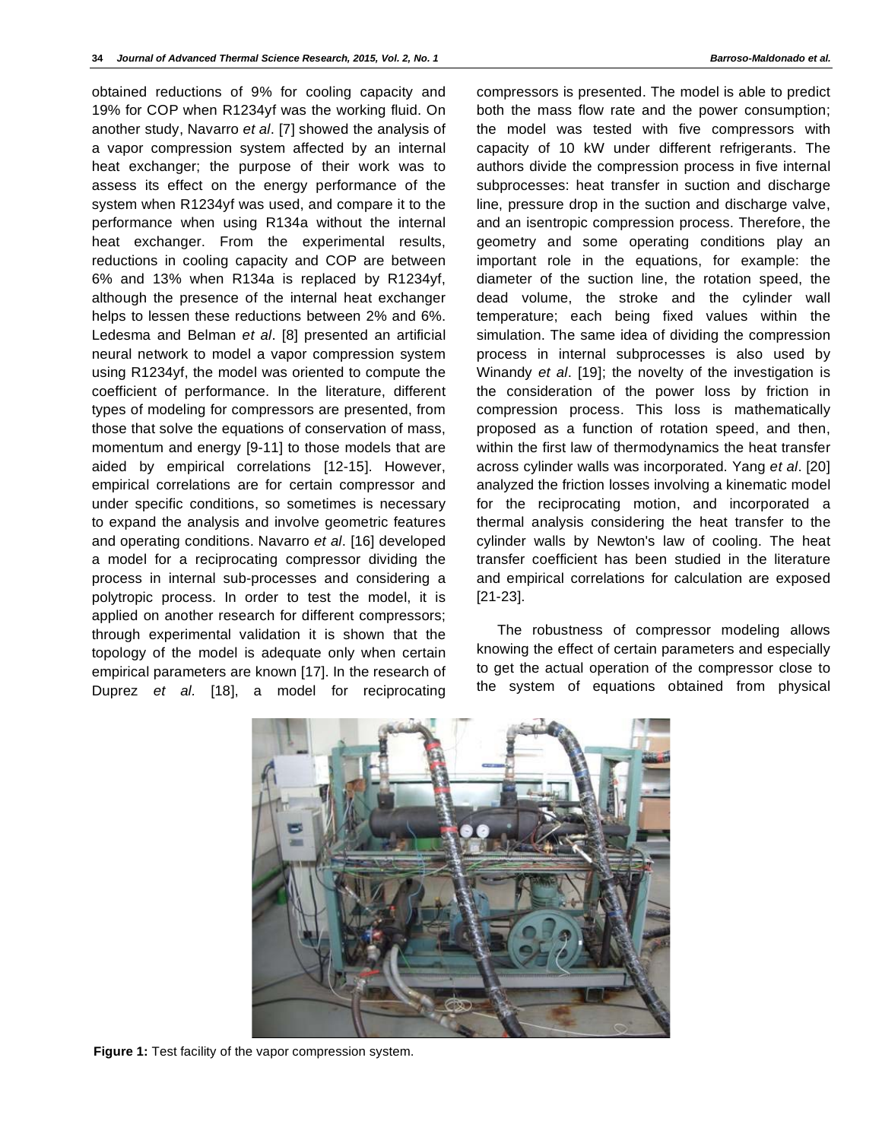obtained reductions of 9% for cooling capacity and 19% for COP when R1234yf was the working fluid. On another study, Navarro *et al*. [7] showed the analysis of a vapor compression system affected by an internal heat exchanger; the purpose of their work was to assess its effect on the energy performance of the system when R1234yf was used, and compare it to the performance when using R134a without the internal heat exchanger. From the experimental results, reductions in cooling capacity and COP are between 6% and 13% when R134a is replaced by R1234yf, although the presence of the internal heat exchanger helps to lessen these reductions between 2% and 6%. Ledesma and Belman *et al*. [8] presented an artificial neural network to model a vapor compression system using R1234yf, the model was oriented to compute the coefficient of performance. In the literature, different types of modeling for compressors are presented, from those that solve the equations of conservation of mass, momentum and energy [9-11] to those models that are aided by empirical correlations [12-15]. However, empirical correlations are for certain compressor and under specific conditions, so sometimes is necessary to expand the analysis and involve geometric features and operating conditions. Navarro *et al*. [16] developed a model for a reciprocating compressor dividing the process in internal sub-processes and considering a polytropic process. In order to test the model, it is applied on another research for different compressors; through experimental validation it is shown that the topology of the model is adequate only when certain empirical parameters are known [17]. In the research of Duprez *et al.* [18], a model for reciprocating

compressors is presented. The model is able to predict both the mass flow rate and the power consumption; the model was tested with five compressors with capacity of 10 kW under different refrigerants. The authors divide the compression process in five internal subprocesses: heat transfer in suction and discharge line, pressure drop in the suction and discharge valve, and an isentropic compression process. Therefore, the geometry and some operating conditions play an important role in the equations, for example: the diameter of the suction line, the rotation speed, the dead volume, the stroke and the cylinder wall temperature; each being fixed values within the simulation. The same idea of dividing the compression process in internal subprocesses is also used by Winandy *et al*. [19]; the novelty of the investigation is the consideration of the power loss by friction in compression process. This loss is mathematically proposed as a function of rotation speed, and then, within the first law of thermodynamics the heat transfer across cylinder walls was incorporated. Yang *et al*. [20] analyzed the friction losses involving a kinematic model for the reciprocating motion, and incorporated a thermal analysis considering the heat transfer to the cylinder walls by Newton's law of cooling. The heat transfer coefficient has been studied in the literature and empirical correlations for calculation are exposed [21-23].

The robustness of compressor modeling allows knowing the effect of certain parameters and especially to get the actual operation of the compressor close to the system of equations obtained from physical



**Figure 1:** Test facility of the vapor compression system.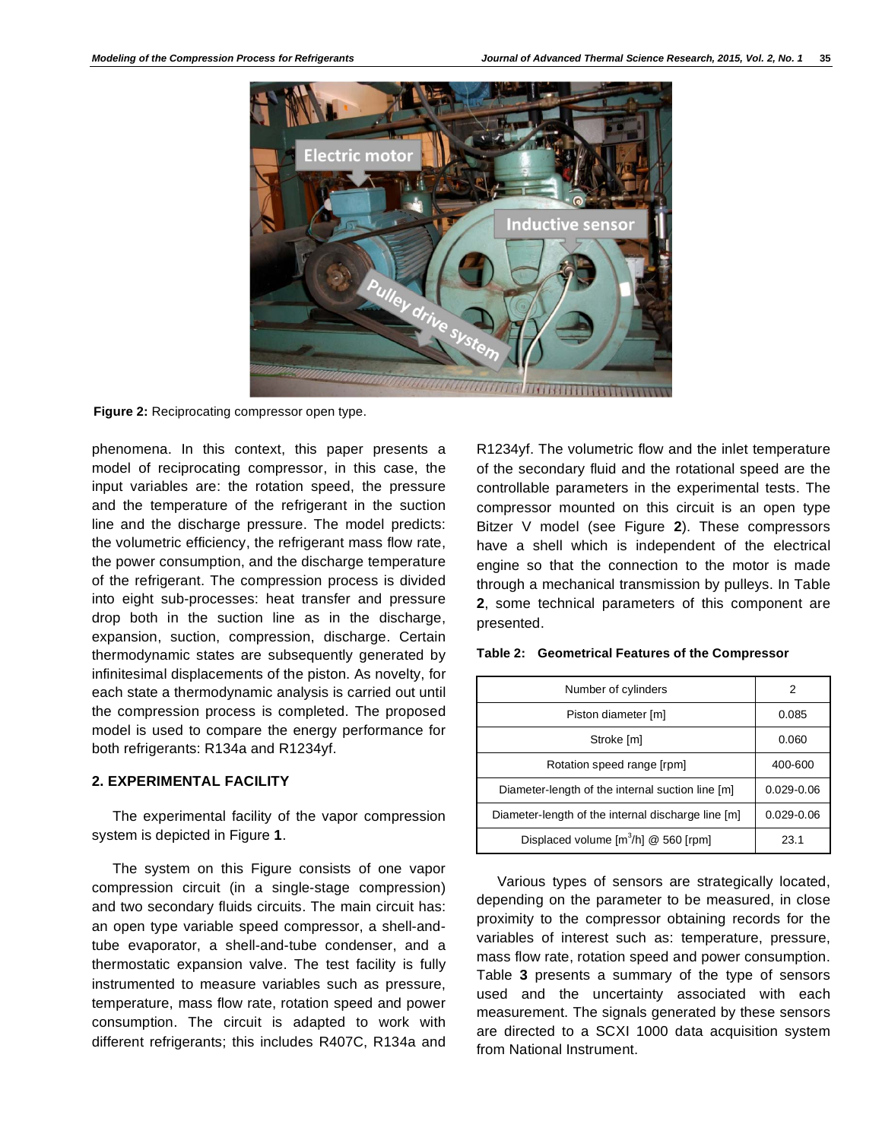

**Figure 2:** Reciprocating compressor open type.

phenomena. In this context, this paper presents a model of reciprocating compressor, in this case, the input variables are: the rotation speed, the pressure and the temperature of the refrigerant in the suction line and the discharge pressure. The model predicts: the volumetric efficiency, the refrigerant mass flow rate, the power consumption, and the discharge temperature of the refrigerant. The compression process is divided into eight sub-processes: heat transfer and pressure drop both in the suction line as in the discharge, expansion, suction, compression, discharge. Certain thermodynamic states are subsequently generated by infinitesimal displacements of the piston. As novelty, for each state a thermodynamic analysis is carried out until the compression process is completed. The proposed model is used to compare the energy performance for both refrigerants: R134a and R1234yf.

# **2. EXPERIMENTAL FACILITY**

The experimental facility of the vapor compression system is depicted in Figure **1**.

The system on this Figure consists of one vapor compression circuit (in a single-stage compression) and two secondary fluids circuits. The main circuit has: an open type variable speed compressor, a shell-andtube evaporator, a shell-and-tube condenser, and a thermostatic expansion valve. The test facility is fully instrumented to measure variables such as pressure, temperature, mass flow rate, rotation speed and power consumption. The circuit is adapted to work with different refrigerants; this includes R407C, R134a and

R1234yf. The volumetric flow and the inlet temperature of the secondary fluid and the rotational speed are the controllable parameters in the experimental tests. The compressor mounted on this circuit is an open type Bitzer V model (see Figure **2**). These compressors have a shell which is independent of the electrical engine so that the connection to the motor is made through a mechanical transmission by pulleys. In Table **2**, some technical parameters of this component are presented.

| Number of cylinders                                | 2              |
|----------------------------------------------------|----------------|
| Piston diameter [m]                                | 0.085          |
| Stroke [m]                                         | 0.060          |
| Rotation speed range [rpm]                         | 400-600        |
| Diameter-length of the internal suction line [m]   | $0.029 - 0.06$ |
| Diameter-length of the internal discharge line [m] | $0.029 - 0.06$ |
| Displaced volume $[m^3/h]$ @ 560 [rpm]             | 23.1           |

Various types of sensors are strategically located, depending on the parameter to be measured, in close proximity to the compressor obtaining records for the variables of interest such as: temperature, pressure, mass flow rate, rotation speed and power consumption. Table **3** presents a summary of the type of sensors used and the uncertainty associated with each measurement. The signals generated by these sensors are directed to a SCXI 1000 data acquisition system from National Instrument.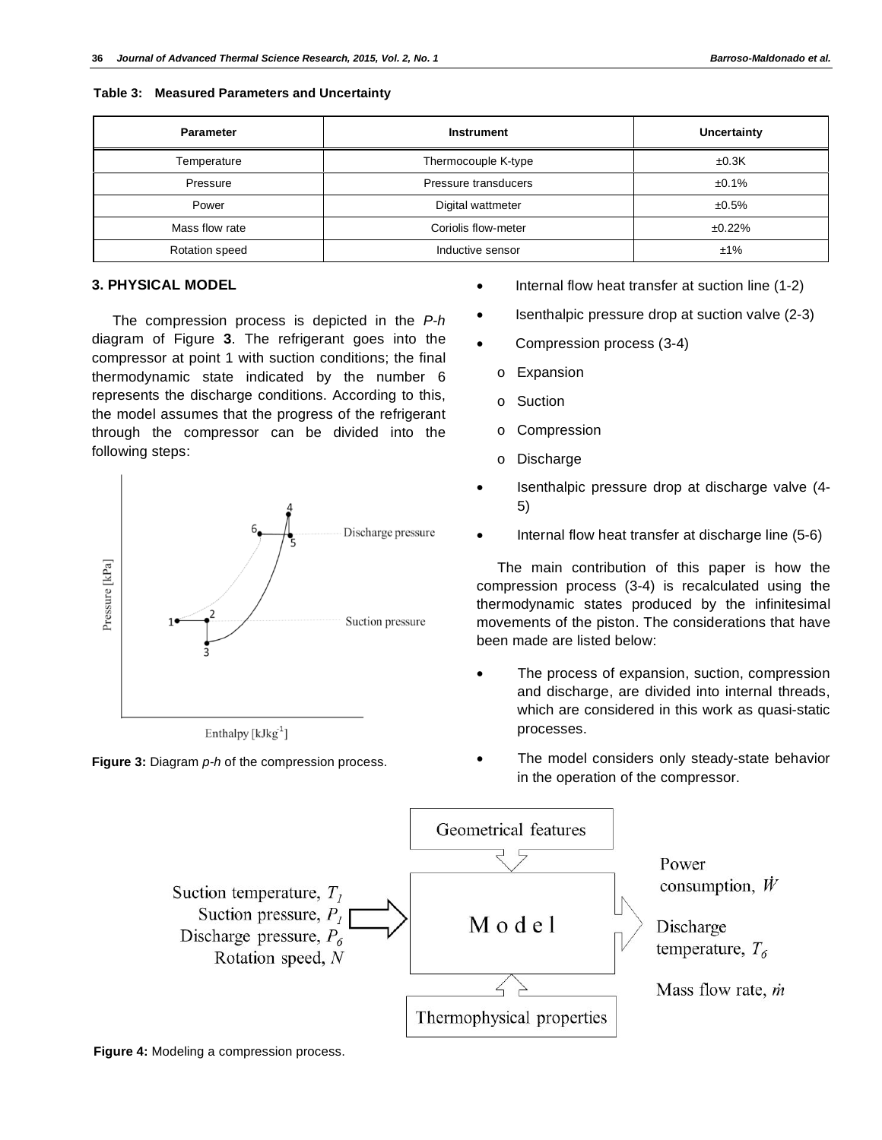| Table 3: Measured Parameters and Uncertainty |  |  |  |  |  |
|----------------------------------------------|--|--|--|--|--|
|----------------------------------------------|--|--|--|--|--|

| <b>Parameter</b> | <b>Instrument</b>    | <b>Uncertainty</b> |
|------------------|----------------------|--------------------|
| Temperature      | Thermocouple K-type  | ±0.3K              |
| Pressure         | Pressure transducers | $±0.1\%$           |
| Power            | Digital wattmeter    | $±0.5\%$           |
| Mass flow rate   | Coriolis flow-meter  | ±0.22%             |
| Rotation speed   | Inductive sensor     | ±1%                |

## **3. PHYSICAL MODEL**

The compression process is depicted in the *P-h* diagram of Figure **3**. The refrigerant goes into the compressor at point 1 with suction conditions; the final thermodynamic state indicated by the number 6 represents the discharge conditions. According to this, the model assumes that the progress of the refrigerant through the compressor can be divided into the following steps:



Enthalpy  $[kJkg^{-1}]$ 

**Figure 3:** Diagram *p-h* of the compression process.

- Internal flow heat transfer at suction line (1-2)
- Isenthalpic pressure drop at suction valve (2-3)
- Compression process (3-4)
	- o Expansion
	- o Suction
	- o Compression
	- o Discharge
- Isenthalpic pressure drop at discharge valve (4- 5)
- Internal flow heat transfer at discharge line (5-6)

The main contribution of this paper is how the compression process (3-4) is recalculated using the thermodynamic states produced by the infinitesimal movements of the piston. The considerations that have been made are listed below:

- The process of expansion, suction, compression and discharge, are divided into internal threads, which are considered in this work as quasi-static processes.
- The model considers only steady-state behavior in the operation of the compressor.



**Figure 4:** Modeling a compression process.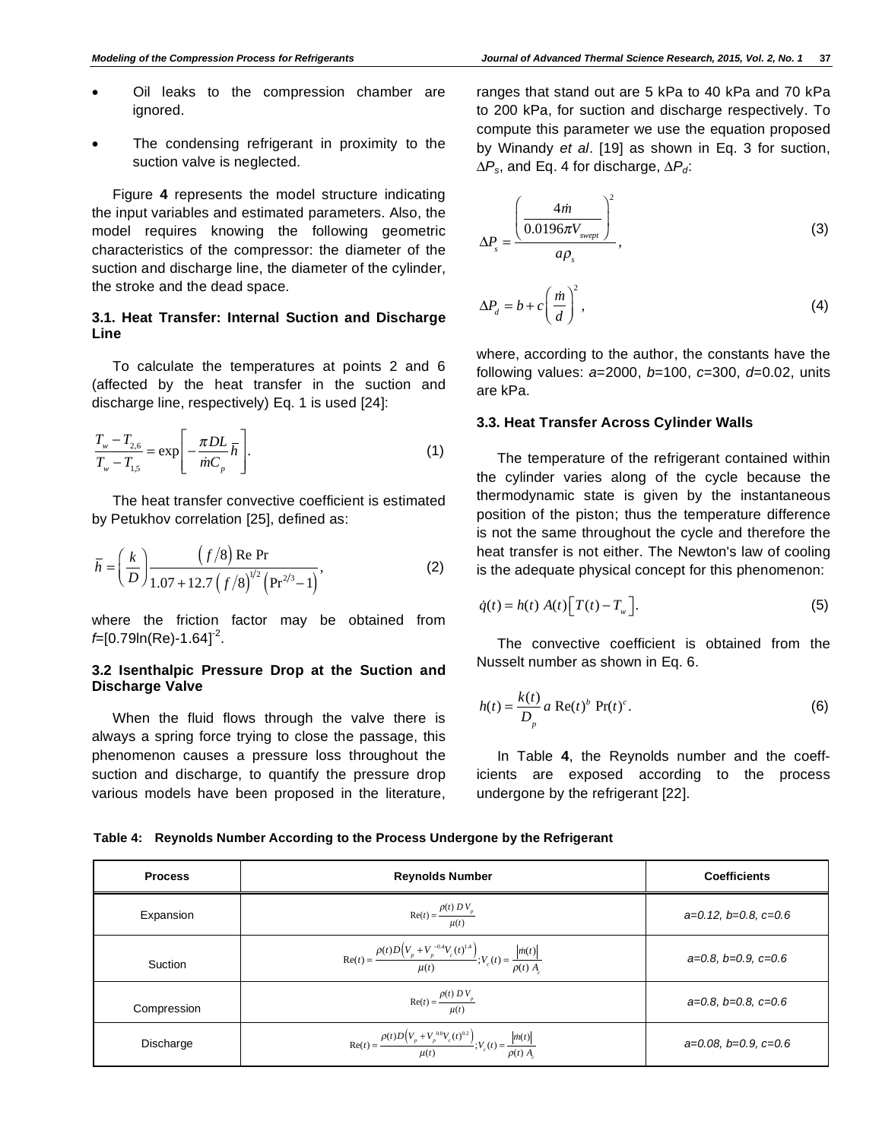- Oil leaks to the compression chamber are ignored.
- The condensing refrigerant in proximity to the suction valve is neglected.

Figure **4** represents the model structure indicating the input variables and estimated parameters. Also, the model requires knowing the following geometric characteristics of the compressor: the diameter of the suction and discharge line, the diameter of the cylinder, the stroke and the dead space.

# **3.1. Heat Transfer: Internal Suction and Discharge Line**

To calculate the temperatures at points 2 and 6 (affected by the heat transfer in the suction and discharge line, respectively) Eq. 1 is used [24]:

$$
\frac{T_{w} - T_{2,6}}{T_{w} - T_{1,5}} = \exp\left[-\frac{\pi DL}{\dot{m}C_{p}}\overline{h}\right].
$$
\n(1)

The heat transfer convective coefficient is estimated by Petukhov correlation [25], defined as:

$$
\overline{h} = \left(\frac{k}{D}\right) \frac{\left(f/8\right) \text{Re Pr}}{1.07 + 12.7 \left(f/8\right)^{1/2} \left(\text{Pr}^{2/3} - 1\right)},\tag{2}
$$

where the friction factor may be obtained from *f*=[0.79ln(Re)-1.64]-2.

# **3.2 Isenthalpic Pressure Drop at the Suction and Discharge Valve**

When the fluid flows through the valve there is always a spring force trying to close the passage, this phenomenon causes a pressure loss throughout the suction and discharge, to quantify the pressure drop various models have been proposed in the literature,

ranges that stand out are 5 kPa to 40 kPa and 70 kPa to 200 kPa, for suction and discharge respectively. To compute this parameter we use the equation proposed by Winandy *et al*. [19] as shown in Eq. 3 for suction,  $\Delta P_s$ , and Eq. 4 for discharge,  $\Delta P_d$ :

$$
\Delta P_s = \frac{\left(\frac{4\dot{m}}{0.0196\pi V_{svept}}\right)^2}{a\rho_s},
$$
\n(3)

$$
\Delta P_d = b + c \left(\frac{\dot{m}}{d}\right)^2,\tag{4}
$$

where, according to the author, the constants have the following values: *a*=2000, *b*=100, *c*=300, *d*=0.02, units are kPa.

## **3.3. Heat Transfer Across Cylinder Walls**

The temperature of the refrigerant contained within the cylinder varies along of the cycle because the thermodynamic state is given by the instantaneous position of the piston; thus the temperature difference is not the same throughout the cycle and therefore the heat transfer is not either. The Newton's law of cooling is the adequate physical concept for this phenomenon:

$$
\dot{q}(t) = h(t) A(t) \Big[ T(t) - T_{w} \Big]. \tag{5}
$$

The convective coefficient is obtained from the Nusselt number as shown in Eq. 6.

$$
h(t) = \frac{k(t)}{D_p} a \operatorname{Re}(t)^b \operatorname{Pr}(t)^c.
$$
 (6)

In Table **4**, the Reynolds number and the coefficients are exposed according to the process undergone by the refrigerant [22].

| Table 4: Reynolds Number According to the Process Undergone by the Refrigerant |  |
|--------------------------------------------------------------------------------|--|
|--------------------------------------------------------------------------------|--|

| <b>Process</b> | <b>Reynolds Number</b>                                                                                          | <b>Coefficients</b>         |
|----------------|-----------------------------------------------------------------------------------------------------------------|-----------------------------|
| Expansion      | $Re(t) = \frac{\rho(t) D V_p}{\mu(t)}$                                                                          | $a=0.12, b=0.8, c=0.6$      |
| Suction        | $\text{Re}(t) = \frac{\rho(t)D(V_p + V_p^{-0.4}V_c(t)^{1.4})}{\mu(t)}; V_c(t) = \frac{ \dot{m}(t) }{\rho(t) A}$ | $a=0.8, b=0.9, c=0.6$       |
| Compression    | $\operatorname{Re}(t) = \frac{\rho(t) D V_p}{\mu(t)}$                                                           | $a=0.8$ , $b=0.8$ , $c=0.6$ |
| Discharge      | $\text{Re}(t) = \frac{\rho(t)D(V_p + V_p^{0.8}V_c(t)^{0.2})}{u(t)}; V_c(t) = \frac{ \dot{m}(t) }{\rho(t) A}$    | $a=0.08, b=0.9, c=0.6$      |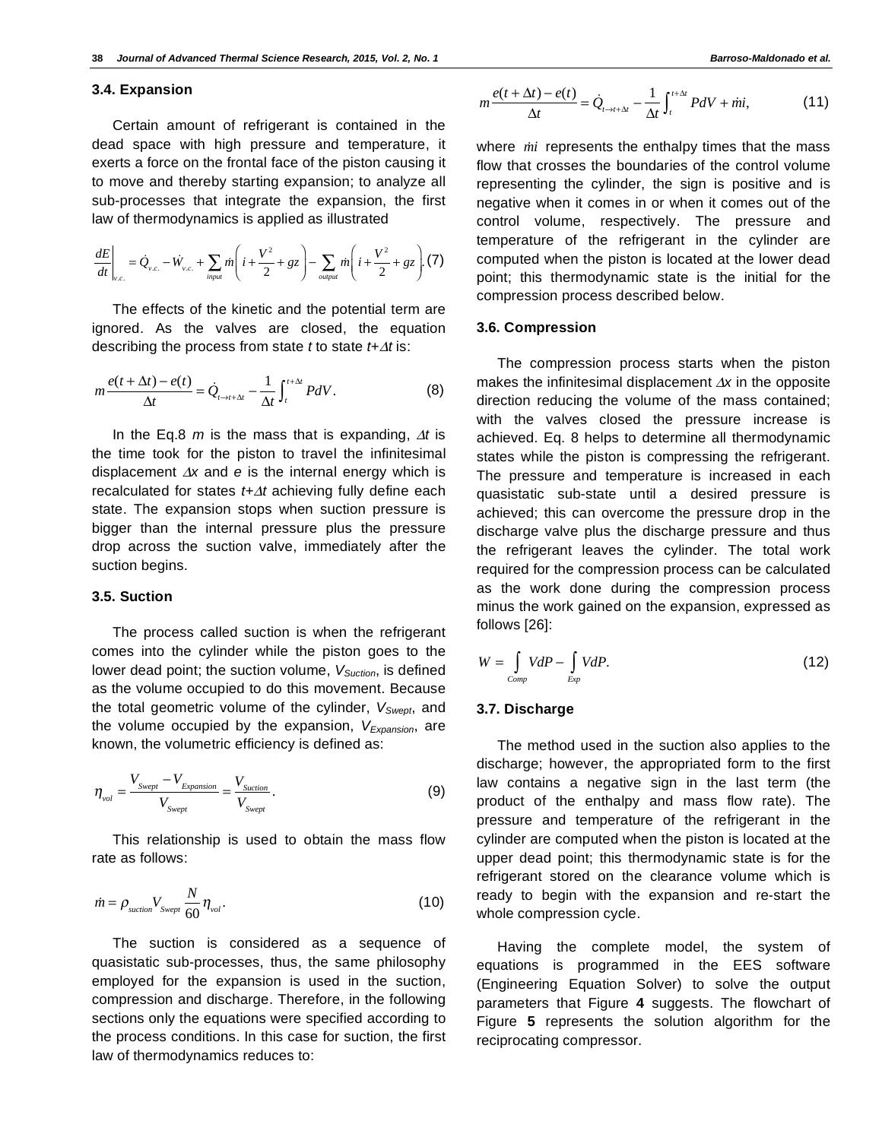#### **3.4. Expansion**

Certain amount of refrigerant is contained in the dead space with high pressure and temperature, it exerts a force on the frontal face of the piston causing it to move and thereby starting expansion; to analyze all sub-processes that integrate the expansion, the first law of thermodynamics is applied as illustrated

$$
\frac{dE}{dt}\Big|_{v.c.} = \dot{Q}_{v.c.} - \dot{W}_{v.c.} + \sum_{input} \dot{m} \left( i + \frac{V^2}{2} + gz \right) - \sum_{output} \dot{m} \left( i + \frac{V^2}{2} + gz \right). (7)
$$

The effects of the kinetic and the potential term are ignored. As the valves are closed, the equation describing the process from state  $t$  to state  $t + \Delta t$  is:

$$
m\frac{e(t+\Delta t)-e(t)}{\Delta t}=\dot{Q}_{t\to t+\Delta t}-\frac{1}{\Delta t}\int_{t}^{t+\Delta t}PdV.
$$
 (8)

In the Eq.8  $m$  is the mass that is expanding,  $\Delta t$  is the time took for the piston to travel the infinitesimal displacement  $\Delta x$  and  $e$  is the internal energy which is recalculated for states *t+t* achieving fully define each state. The expansion stops when suction pressure is bigger than the internal pressure plus the pressure drop across the suction valve, immediately after the suction begins.

#### **3.5. Suction**

The process called suction is when the refrigerant comes into the cylinder while the piston goes to the lower dead point; the suction volume, V<sub>Suction</sub>, is defined as the volume occupied to do this movement. Because the total geometric volume of the cylinder,  $V_{Swept}$ , and the volume occupied by the expansion, V<sub>Expansion</sub>, are known, the volumetric efficiency is defined as:

$$
\eta_{\text{vol}} = \frac{V_{\text{Swept}} - V_{\text{Expansion}}}{V_{\text{Swept}}} = \frac{V_{\text{Suction}}}{V_{\text{Swept}}}.
$$
\n(9)

This relationship is used to obtain the mass flow rate as follows:

$$
\dot{m} = \rho_{\text{suction}} V_{\text{Swept}} \frac{N}{60} \eta_{\text{vol}}.
$$
\n(10)

The suction is considered as a sequence of quasistatic sub-processes, thus, the same philosophy employed for the expansion is used in the suction, compression and discharge. Therefore, in the following sections only the equations were specified according to the process conditions. In this case for suction, the first law of thermodynamics reduces to:

$$
m\frac{e(t+\Delta t)-e(t)}{\Delta t}=\dot{Q}_{t\to t+\Delta t}-\frac{1}{\Delta t}\int_{t}^{t+\Delta t}PdV+ \dot{m}i,
$$
 (11)

where *mi* represents the enthalpy times that the mass flow that crosses the boundaries of the control volume representing the cylinder, the sign is positive and is negative when it comes in or when it comes out of the control volume, respectively. The pressure and temperature of the refrigerant in the cylinder are computed when the piston is located at the lower dead point; this thermodynamic state is the initial for the compression process described below.

#### **3.6. Compression**

The compression process starts when the piston makes the infinitesimal displacement  $\Delta x$  in the opposite direction reducing the volume of the mass contained; with the valves closed the pressure increase is achieved. Eq. 8 helps to determine all thermodynamic states while the piston is compressing the refrigerant. The pressure and temperature is increased in each quasistatic sub-state until a desired pressure is achieved; this can overcome the pressure drop in the discharge valve plus the discharge pressure and thus the refrigerant leaves the cylinder. The total work required for the compression process can be calculated as the work done during the compression process minus the work gained on the expansion, expressed as follows [26]:

$$
W = \int_{Comp} VdP - \int_{Exp} VdP.
$$
 (12)

## **3.7. Discharge**

The method used in the suction also applies to the discharge; however, the appropriated form to the first law contains a negative sign in the last term (the product of the enthalpy and mass flow rate). The pressure and temperature of the refrigerant in the cylinder are computed when the piston is located at the upper dead point; this thermodynamic state is for the refrigerant stored on the clearance volume which is ready to begin with the expansion and re-start the whole compression cycle.

Having the complete model, the system of equations is programmed in the EES software (Engineering Equation Solver) to solve the output parameters that Figure **4** suggests. The flowchart of Figure **5** represents the solution algorithm for the reciprocating compressor.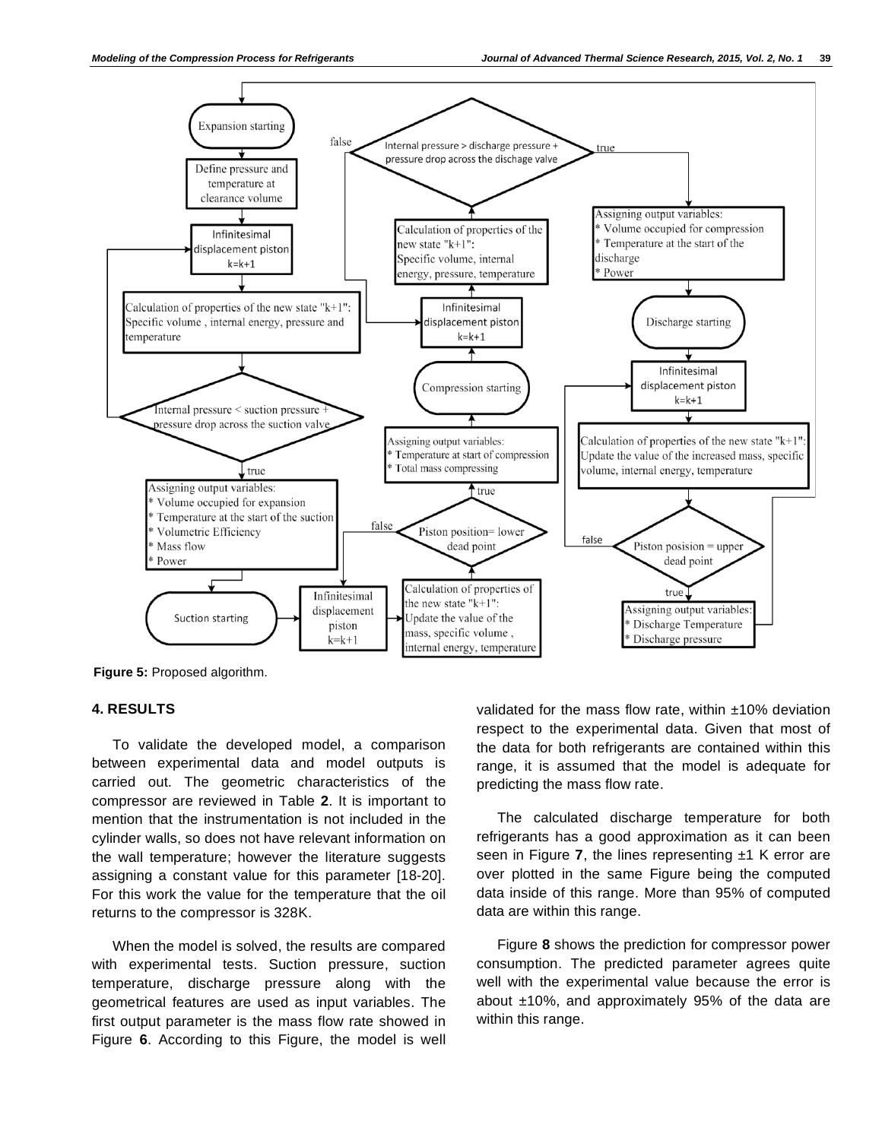

**Figure 5:** Proposed algorithm.

## **4. RESULTS**

To validate the developed model, a comparison between experimental data and model outputs is carried out. The geometric characteristics of the compressor are reviewed in Table **2**. It is important to mention that the instrumentation is not included in the cylinder walls, so does not have relevant information on the wall temperature; however the literature suggests assigning a constant value for this parameter [18-20]. For this work the value for the temperature that the oil returns to the compressor is 328K.

When the model is solved, the results are compared with experimental tests. Suction pressure, suction temperature, discharge pressure along with the geometrical features are used as input variables. The first output parameter is the mass flow rate showed in Figure **6**. According to this Figure, the model is well validated for the mass flow rate, within ±10% deviation respect to the experimental data. Given that most of the data for both refrigerants are contained within this range, it is assumed that the model is adequate for predicting the mass flow rate.

The calculated discharge temperature for both refrigerants has a good approximation as it can been seen in Figure 7, the lines representing ±1 K error are over plotted in the same Figure being the computed data inside of this range. More than 95% of computed data are within this range.

Figure **8** shows the prediction for compressor power consumption. The predicted parameter agrees quite well with the experimental value because the error is about  $±10\%$ , and approximately 95% of the data are within this range.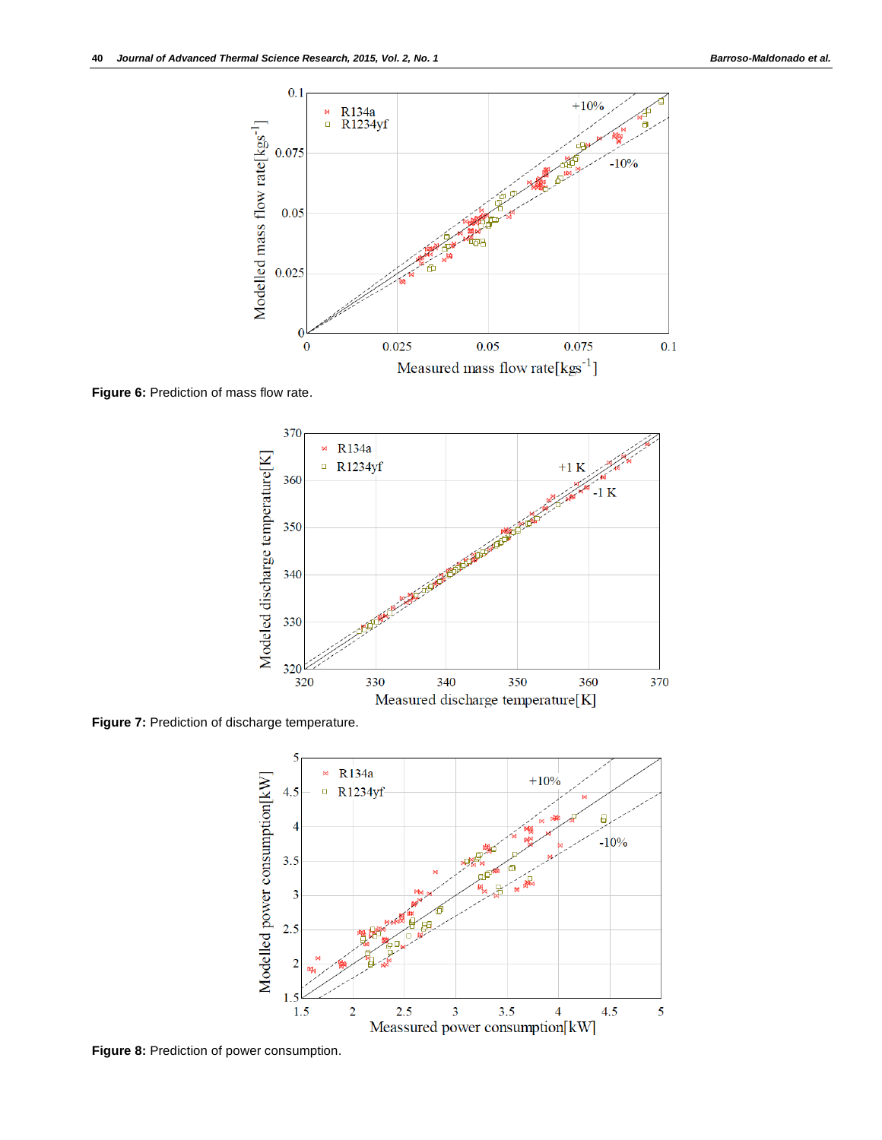

**Figure 6:** Prediction of mass flow rate.



**Figure 7:** Prediction of discharge temperature.



**Figure 8:** Prediction of power consumption.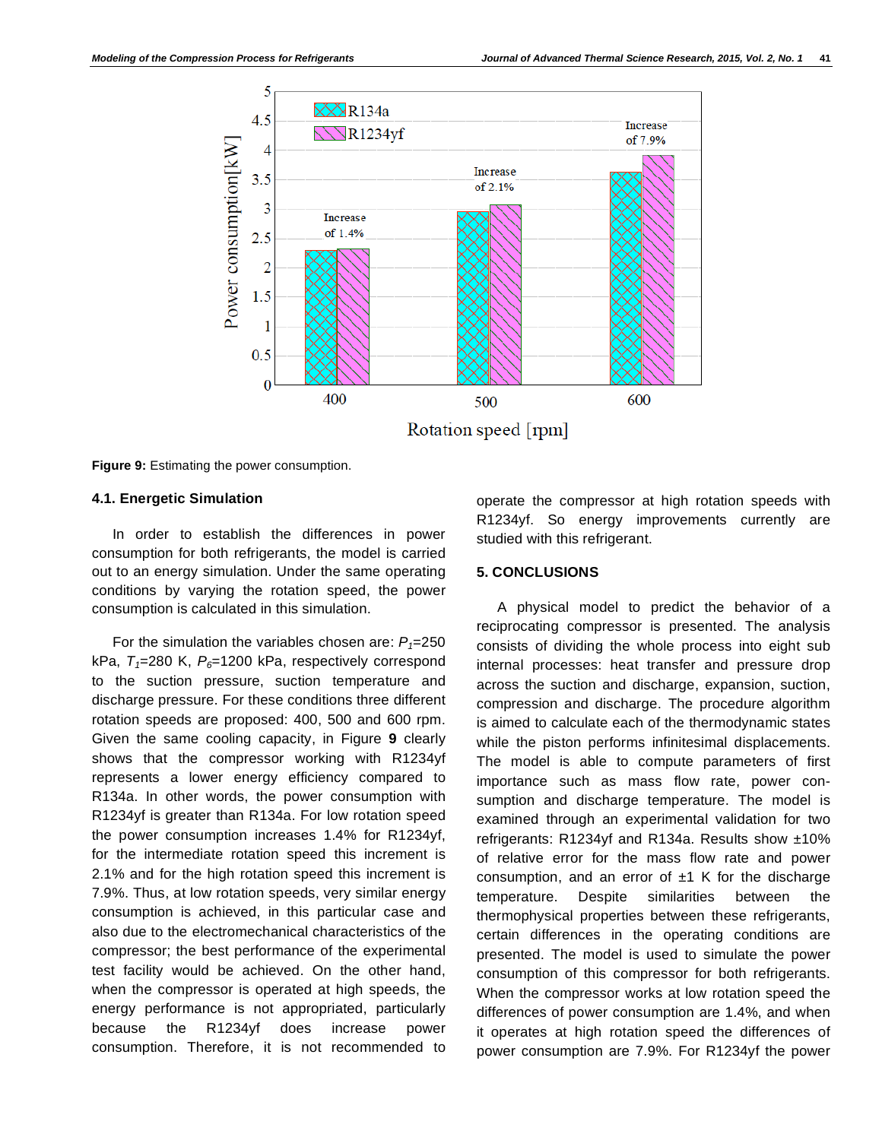

**Figure 9:** Estimating the power consumption.

## **4.1. Energetic Simulation**

In order to establish the differences in power consumption for both refrigerants, the model is carried out to an energy simulation. Under the same operating conditions by varying the rotation speed, the power consumption is calculated in this simulation.

For the simulation the variables chosen are:  $P_1 = 250$ kPa,  $T_1$ =280 K,  $P_6$ =1200 kPa, respectively correspond to the suction pressure, suction temperature and discharge pressure. For these conditions three different rotation speeds are proposed: 400, 500 and 600 rpm. Given the same cooling capacity, in Figure **9** clearly shows that the compressor working with R1234yf represents a lower energy efficiency compared to R134a. In other words, the power consumption with R1234yf is greater than R134a. For low rotation speed the power consumption increases 1.4% for R1234yf, for the intermediate rotation speed this increment is 2.1% and for the high rotation speed this increment is 7.9%. Thus, at low rotation speeds, very similar energy consumption is achieved, in this particular case and also due to the electromechanical characteristics of the compressor; the best performance of the experimental test facility would be achieved. On the other hand, when the compressor is operated at high speeds, the energy performance is not appropriated, particularly because the R1234yf does increase power consumption. Therefore, it is not recommended to

operate the compressor at high rotation speeds with R1234yf. So energy improvements currently are studied with this refrigerant.

## **5. CONCLUSIONS**

A physical model to predict the behavior of a reciprocating compressor is presented. The analysis consists of dividing the whole process into eight sub internal processes: heat transfer and pressure drop across the suction and discharge, expansion, suction, compression and discharge. The procedure algorithm is aimed to calculate each of the thermodynamic states while the piston performs infinitesimal displacements. The model is able to compute parameters of first importance such as mass flow rate, power consumption and discharge temperature. The model is examined through an experimental validation for two refrigerants: R1234yf and R134a. Results show ±10% of relative error for the mass flow rate and power consumption, and an error of  $±1$  K for the discharge temperature. Despite similarities between the thermophysical properties between these refrigerants, certain differences in the operating conditions are presented. The model is used to simulate the power consumption of this compressor for both refrigerants. When the compressor works at low rotation speed the differences of power consumption are 1.4%, and when it operates at high rotation speed the differences of power consumption are 7.9%. For R1234yf the power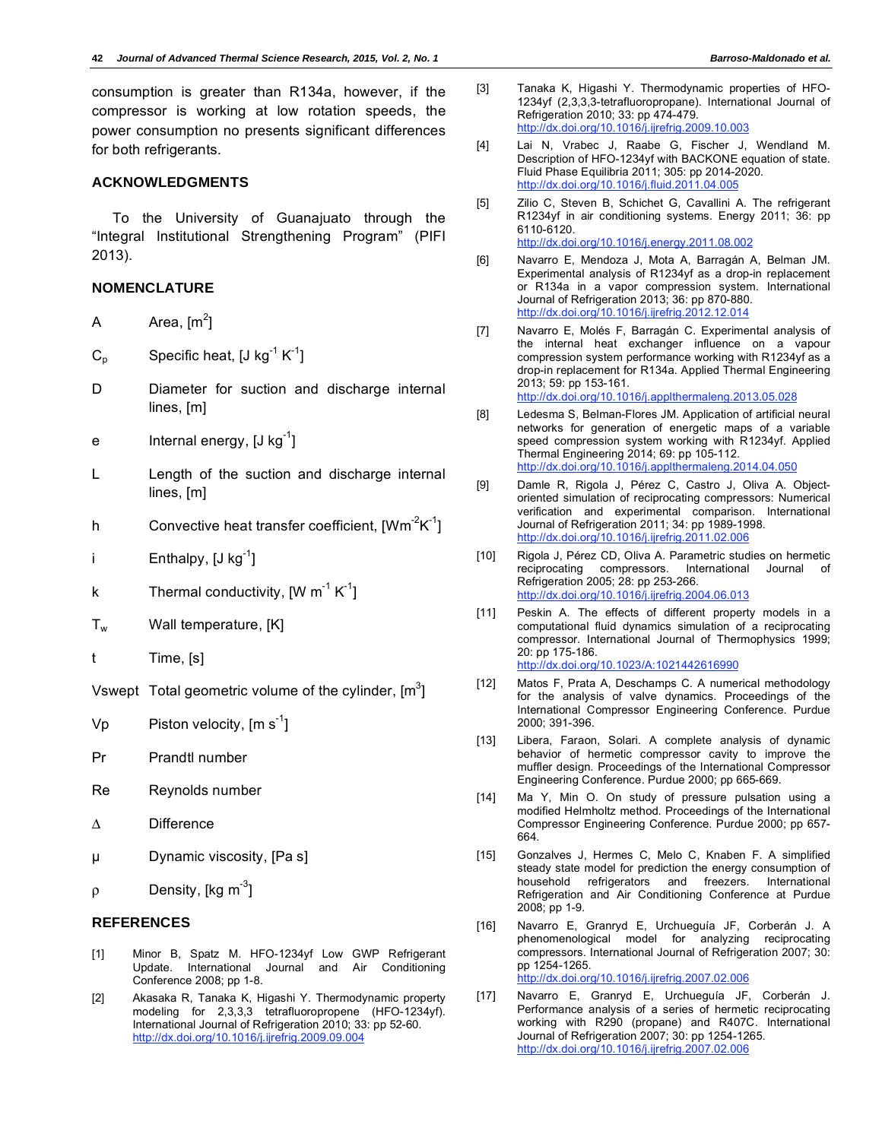consumption is greater than R134a, however, if the compressor is working at low rotation speeds, the power consumption no presents significant differences for both refrigerants.

## **ACKNOWLEDGMENTS**

To the University of Guanajuato through the "Integral Institutional Strengthening Program" (PIFI 2013).

## **NOMENCLATURE**

- A Area,  $[m^2]$
- $C_p$  Specific heat, [J kg<sup>-1</sup> K<sup>-1</sup>]
- D Diameter for suction and discharge internal lines, [m]
- e Internal energy,  $[J kg^{-1}]$
- L Length of the suction and discharge internal lines, [m]
- h Convective heat transfer coefficient,  $[Wm^2K^{-1}]$
- i Enthalpy,  $[J kg^{-1}]$
- k Thermal conductivity,  $[W \ m<sup>-1</sup> K<sup>-1</sup>]$
- $T_w$  Wall temperature,  $[K]$
- t Time, [s]

Vswept Total geometric volume of the cylinder,  $[m^3]$ 

- Vp Piston velocity,  $[m s<sup>-1</sup>]$
- Pr Prandtl number
- Re Reynolds number
- $\Delta$  Difference
- μ Dynamic viscosity, [Pa s]
- $\rho$ Density,  $[kq \, m^3]$

# **REFERENCES**

- [1] Minor B, Spatz M. HFO-1234yf Low GWP Refrigerant Update. International Journal and Air Conditioning Conference 2008; pp 1-8.
- [2] Akasaka R, Tanaka K, Higashi Y. Thermodynamic property modeling for 2,3,3,3 tetrafluoropropene (HFO-1234yf). International Journal of Refrigeration 2010; 33: pp 52-60. http://dx.doi.org/10.1016/j.ijrefrig.2009.09.004
- [3] Tanaka K, Higashi Y. Thermodynamic properties of HFO-1234yf (2,3,3,3-tetrafluoropropane). International Journal of Refrigeration 2010; 33: pp 474-479. http://dx.doi.org/10.1016/j.ijrefrig.2009.10.003
- [4] Lai N, Vrabec J, Raabe G, Fischer J, Wendland M. Description of HFO-1234yf with BACKONE equation of state. Fluid Phase Equilibria 2011; 305: pp 2014-2020. http://dx.doi.org/10.1016/j.fluid.2011.04.005
- [5] Zilio C, Steven B, Schichet G, Cavallini A. The refrigerant R1234yf in air conditioning systems. Energy 2011; 36: pp 6110-6120. http://dx.doi.org/10.1016/j.energy.2011.08.002
- [6] Navarro E, Mendoza J, Mota A, Barragán A, Belman JM. Experimental analysis of R1234yf as a drop-in replacement or R134a in a vapor compression system. International Journal of Refrigeration 2013; 36: pp 870-880. http://dx.doi.org/10.1016/j.ijrefrig.2012.12.014
- [7] Navarro E, Molés F, Barragán C. Experimental analysis of the internal heat exchanger influence on a vapour compression system performance working with R1234yf as a drop-in replacement for R134a. Applied Thermal Engineering 2013; 59: pp 153-161. http://dx.doi.org/10.1016/j.applthermaleng.2013.05.028
- [8] Ledesma S, Belman-Flores JM. Application of artificial neural networks for generation of energetic maps of a variable speed compression system working with R1234yf. Applied Thermal Engineering 2014; 69: pp 105-112. http://dx.doi.org/10.1016/j.applthermaleng.2014.04.050
- [9] Damle R, Rigola J, Pérez C, Castro J, Oliva A. Objectoriented simulation of reciprocating compressors: Numerical verification and experimental comparison. International Journal of Refrigeration 2011; 34: pp 1989-1998. http://dx.doi.org/10.1016/j.ijrefrig.2011.02.006
- [10] Rigola J, Pérez CD, Oliva A. Parametric studies on hermetic reciprocating compressors. International Journal of Refrigeration 2005; 28: pp 253-266. http://dx.doi.org/10.1016/j.ijrefrig.2004.06.013
- [11] Peskin A. The effects of different property models in a computational fluid dynamics simulation of a reciprocating compressor. International Journal of Thermophysics 1999; 20: pp 175-186. http://dx.doi.org/10.1023/A:1021442616990
- [12] Matos F, Prata A, Deschamps C. A numerical methodology for the analysis of valve dynamics. Proceedings of the International Compressor Engineering Conference. Purdue 2000; 391-396.
- [13] Libera, Faraon, Solari. A complete analysis of dynamic behavior of hermetic compressor cavity to improve the muffler design. Proceedings of the International Compressor Engineering Conference. Purdue 2000; pp 665-669.
- [14] Ma Y, Min O. On study of pressure pulsation using a modified Helmholtz method. Proceedings of the International Compressor Engineering Conference. Purdue 2000; pp 657- 664.
- [15] Gonzalves J, Hermes C, Melo C, Knaben F. A simplified steady state model for prediction the energy consumption of household refrigerators and freezers. International Refrigeration and Air Conditioning Conference at Purdue 2008; pp 1-9.
- [16] Navarro E, Granryd E, Urchueguía JF, Corberán J. A phenomenological model for analyzing reciprocating compressors. International Journal of Refrigeration 2007; 30: pp 1254-1265. http://dx.doi.org/10.1016/j.ijrefrig.2007.02.006
- [17] Navarro E, Granryd E, Urchueguía JF, Corberán J. Performance analysis of a series of hermetic reciprocating working with R290 (propane) and R407C. International Journal of Refrigeration 2007; 30: pp 1254-1265. http://dx.doi.org/10.1016/j.ijrefrig.2007.02.006